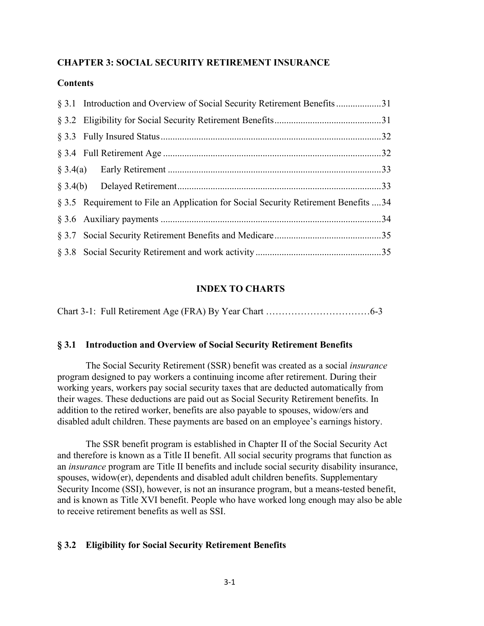## **CHAPTER 3: SOCIAL SECURITY RETIREMENT INSURANCE**

## **Contents**

| § 3.5 Requirement to File an Application for Social Security Retirement Benefits  34 |  |
|--------------------------------------------------------------------------------------|--|
|                                                                                      |  |
|                                                                                      |  |
|                                                                                      |  |

### **INDEX TO CHARTS**

### **§ 3.1 Introduction and Overview of Social Security Retirement Benefits**

The Social Security Retirement (SSR) benefit was created as a social *insurance* program designed to pay workers a continuing income after retirement. During their working years, workers pay social security taxes that are deducted automatically from their wages. These deductions are paid out as Social Security Retirement benefits. In addition to the retired worker, benefits are also payable to spouses, widow/ers and disabled adult children. These payments are based on an employee's earnings history.

The SSR benefit program is established in Chapter II of the Social Security Act and therefore is known as a Title II benefit. All social security programs that function as an *insurance* program are Title II benefits and include social security disability insurance, spouses, widow(er), dependents and disabled adult children benefits. Supplementary Security Income (SSI), however, is not an insurance program, but a means-tested benefit, and is known as Title XVI benefit. People who have worked long enough may also be able to receive retirement benefits as well as SSI.

### **§ 3.2 Eligibility for Social Security Retirement Benefits**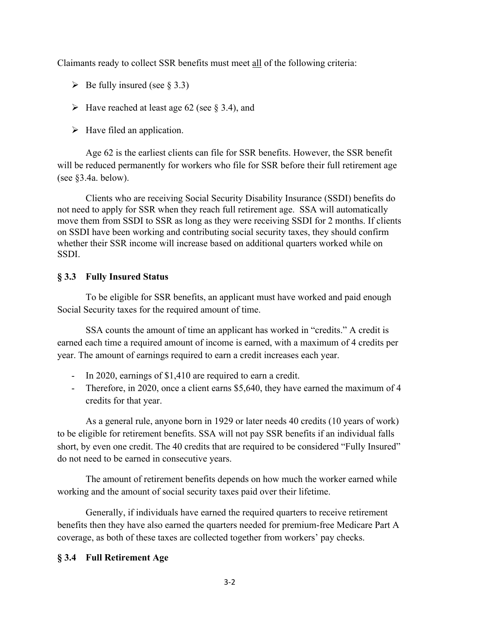Claimants ready to collect SSR benefits must meet all of the following criteria:

- $\triangleright$  Be fully insured (see § 3.3)
- $\triangleright$  Have reached at least age 62 (see § 3.4), and
- $\triangleright$  Have filed an application.

Age 62 is the earliest clients can file for SSR benefits. However, the SSR benefit will be reduced permanently for workers who file for SSR before their full retirement age (see §3.4a. below).

Clients who are receiving Social Security Disability Insurance (SSDI) benefits do not need to apply for SSR when they reach full retirement age. SSA will automatically move them from SSDI to SSR as long as they were receiving SSDI for 2 months. If clients on SSDI have been working and contributing social security taxes, they should confirm whether their SSR income will increase based on additional quarters worked while on SSDI.

# **§ 3.3 Fully Insured Status**

To be eligible for SSR benefits, an applicant must have worked and paid enough Social Security taxes for the required amount of time.

SSA counts the amount of time an applicant has worked in "credits." A credit is earned each time a required amount of income is earned, with a maximum of 4 credits per year. The amount of earnings required to earn a credit increases each year.

- In 2020, earnings of \$1,410 are required to earn a credit.
- Therefore, in 2020, once a client earns \$5,640, they have earned the maximum of 4 credits for that year.

As a general rule, anyone born in 1929 or later needs 40 credits (10 years of work) to be eligible for retirement benefits. SSA will not pay SSR benefits if an individual falls short, by even one credit. The 40 credits that are required to be considered "Fully Insured" do not need to be earned in consecutive years.

The amount of retirement benefits depends on how much the worker earned while working and the amount of social security taxes paid over their lifetime.

Generally, if individuals have earned the required quarters to receive retirement benefits then they have also earned the quarters needed for premium-free Medicare Part A coverage, as both of these taxes are collected together from workers' pay checks.

# **§ 3.4 Full Retirement Age**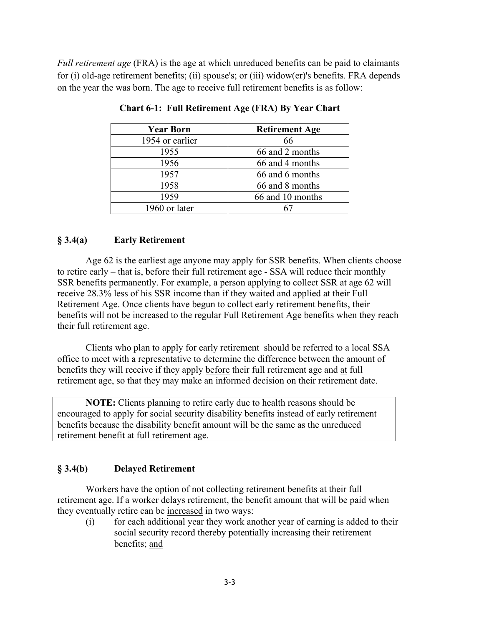*Full retirement age* (FRA) is the age at which unreduced benefits can be paid to claimants for (i) old-age retirement benefits; (ii) spouse's; or (iii) widow(er)'s benefits. FRA depends on the year the was born. The age to receive full retirement benefits is as follow:

| <b>Year Born</b> | <b>Retirement Age</b> |
|------------------|-----------------------|
| 1954 or earlier  | 66                    |
| 1955             | 66 and 2 months       |
| 1956             | 66 and 4 months       |
| 1957             | 66 and 6 months       |
| 1958             | 66 and 8 months       |
| 1959             | 66 and 10 months      |
| 1960 or later    |                       |

**Chart 6-1: Full Retirement Age (FRA) By Year Chart**

## **§ 3.4(a) Early Retirement**

Age 62 is the earliest age anyone may apply for SSR benefits. When clients choose to retire early – that is, before their full retirement age - SSA will reduce their monthly SSR benefits permanently. For example, a person applying to collect SSR at age 62 will receive 28.3% less of his SSR income than if they waited and applied at their Full Retirement Age. Once clients have begun to collect early retirement benefits, their benefits will not be increased to the regular Full Retirement Age benefits when they reach their full retirement age.

Clients who plan to apply for early retirement should be referred to a local SSA office to meet with a representative to determine the difference between the amount of benefits they will receive if they apply before their full retirement age and at full retirement age, so that they may make an informed decision on their retirement date.

**NOTE:** Clients planning to retire early due to health reasons should be encouraged to apply for social security disability benefits instead of early retirement benefits because the disability benefit amount will be the same as the unreduced retirement benefit at full retirement age.

# **§ 3.4(b) Delayed Retirement**

Workers have the option of not collecting retirement benefits at their full retirement age. If a worker delays retirement, the benefit amount that will be paid when they eventually retire can be increased in two ways:

(i) for each additional year they work another year of earning is added to their social security record thereby potentially increasing their retirement benefits; and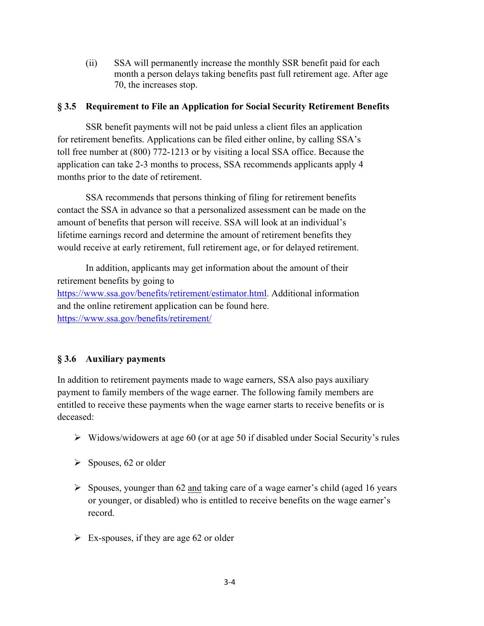(ii) SSA will permanently increase the monthly SSR benefit paid for each month a person delays taking benefits past full retirement age. After age 70, the increases stop.

### **§ 3.5 Requirement to File an Application for Social Security Retirement Benefits**

SSR benefit payments will not be paid unless a client files an application for retirement benefits. Applications can be filed either online, by calling SSA's toll free number at (800) 772-1213 or by visiting a local SSA office. Because the application can take 2-3 months to process, SSA recommends applicants apply 4 months prior to the date of retirement.

SSA recommends that persons thinking of filing for retirement benefits contact the SSA in advance so that a personalized assessment can be made on the amount of benefits that person will receive. SSA will look at an individual's lifetime earnings record and determine the amount of retirement benefits they would receive at early retirement, full retirement age, or for delayed retirement.

In addition, applicants may get information about the amount of their retirement benefits by going to https://www.ssa.gov/benefits/retirement/estimator.html. Additional information and the online retirement application can be found here. https://www.ssa.gov/benefits/retirement/

# **§ 3.6 Auxiliary payments**

In addition to retirement payments made to wage earners, SSA also pays auxiliary payment to family members of the wage earner. The following family members are entitled to receive these payments when the wage earner starts to receive benefits or is deceased:

- $\triangleright$  Widows/widowers at age 60 (or at age 50 if disabled under Social Security's rules
- $\triangleright$  Spouses, 62 or older
- $\triangleright$  Spouses, younger than 62 and taking care of a wage earner's child (aged 16 years or younger, or disabled) who is entitled to receive benefits on the wage earner's record.
- $\triangleright$  Ex-spouses, if they are age 62 or older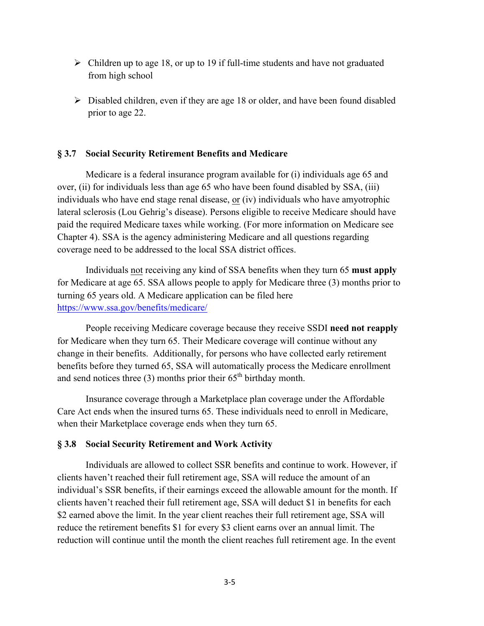- $\triangleright$  Children up to age 18, or up to 19 if full-time students and have not graduated from high school
- $\triangleright$  Disabled children, even if they are age 18 or older, and have been found disabled prior to age 22.

#### **§ 3.7 Social Security Retirement Benefits and Medicare**

Medicare is a federal insurance program available for (i) individuals age 65 and over, (ii) for individuals less than age 65 who have been found disabled by SSA, (iii) individuals who have end stage renal disease, or (iv) individuals who have amyotrophic lateral sclerosis (Lou Gehrig's disease). Persons eligible to receive Medicare should have paid the required Medicare taxes while working. (For more information on Medicare see Chapter 4). SSA is the agency administering Medicare and all questions regarding coverage need to be addressed to the local SSA district offices.

Individuals not receiving any kind of SSA benefits when they turn 65 **must apply** for Medicare at age 65. SSA allows people to apply for Medicare three (3) months prior to turning 65 years old. A Medicare application can be filed here https://www.ssa.gov/benefits/medicare/

People receiving Medicare coverage because they receive SSDI **need not reapply** for Medicare when they turn 65. Their Medicare coverage will continue without any change in their benefits. Additionally, for persons who have collected early retirement benefits before they turned 65, SSA will automatically process the Medicare enrollment and send notices three  $(3)$  months prior their  $65<sup>th</sup>$  birthday month.

Insurance coverage through a Marketplace plan coverage under the Affordable Care Act ends when the insured turns 65. These individuals need to enroll in Medicare, when their Marketplace coverage ends when they turn 65.

### **§ 3.8 Social Security Retirement and Work Activity**

Individuals are allowed to collect SSR benefits and continue to work. However, if clients haven't reached their full retirement age, SSA will reduce the amount of an individual's SSR benefits, if their earnings exceed the allowable amount for the month. If clients haven't reached their full retirement age, SSA will deduct \$1 in benefits for each \$2 earned above the limit. In the year client reaches their full retirement age, SSA will reduce the retirement benefits \$1 for every \$3 client earns over an annual limit. The reduction will continue until the month the client reaches full retirement age. In the event